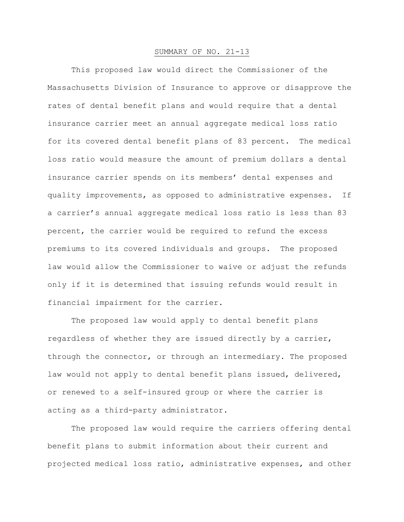## SUMMARY OF NO. 21-13

This proposed law would direct the Commissioner of the Massachusetts Division of Insurance to approve or disapprove the rates of dental benefit plans and would require that a dental insurance carrier meet an annual aggregate medical loss ratio for its covered dental benefit plans of 83 percent. The medical loss ratio would measure the amount of premium dollars a dental insurance carrier spends on its members' dental expenses and quality improvements, as opposed to administrative expenses. If a carrier's annual aggregate medical loss ratio is less than 83 percent, the carrier would be required to refund the excess premiums to its covered individuals and groups. The proposed law would allow the Commissioner to waive or adjust the refunds only if it is determined that issuing refunds would result in financial impairment for the carrier.

The proposed law would apply to dental benefit plans regardless of whether they are issued directly by a carrier, through the connector, or through an intermediary. The proposed law would not apply to dental benefit plans issued, delivered, or renewed to a self-insured group or where the carrier is acting as a third-party administrator.

The proposed law would require the carriers offering dental benefit plans to submit information about their current and projected medical loss ratio, administrative expenses, and other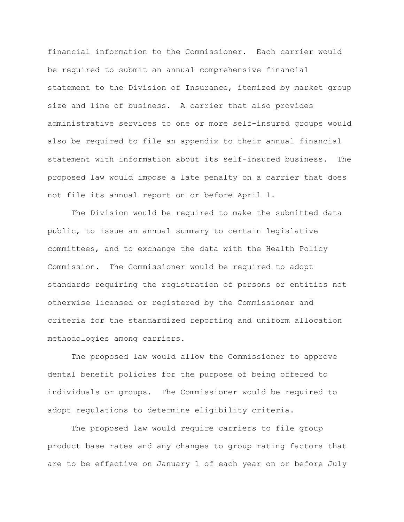financial information to the Commissioner. Each carrier would be required to submit an annual comprehensive financial statement to the Division of Insurance, itemized by market group size and line of business. A carrier that also provides administrative services to one or more self-insured groups would also be required to file an appendix to their annual financial statement with information about its self-insured business. The proposed law would impose a late penalty on a carrier that does not file its annual report on or before April 1.

The Division would be required to make the submitted data public, to issue an annual summary to certain legislative committees, and to exchange the data with the Health Policy Commission. The Commissioner would be required to adopt standards requiring the registration of persons or entities not otherwise licensed or registered by the Commissioner and criteria for the standardized reporting and uniform allocation methodologies among carriers.

The proposed law would allow the Commissioner to approve dental benefit policies for the purpose of being offered to individuals or groups. The Commissioner would be required to adopt regulations to determine eligibility criteria.

The proposed law would require carriers to file group product base rates and any changes to group rating factors that are to be effective on January 1 of each year on or before July